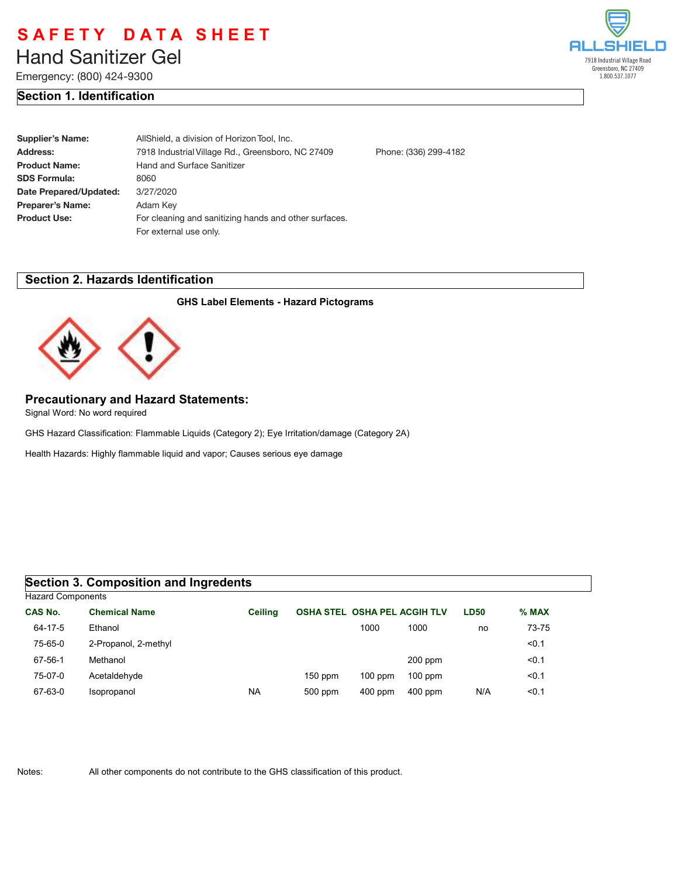# **Liberty Hand Sanitizer Gel** Hand Sanitizer Gel

Emergency: (800) 424-9300

## **Section 1. Identification**

| elleseilello                                                           |
|------------------------------------------------------------------------|
| 7918 Industrial Village Road<br>Greensboro, NC 27409<br>1.800.537.1077 |

| Supplier's Name:       | AllShield, a division of Horizon Tool, Inc.                           |  |  |
|------------------------|-----------------------------------------------------------------------|--|--|
| Address:               | 7918 Industrial Village Rd., Greensboro, NC 27409<br>Phone: (336) 299 |  |  |
| <b>Product Name:</b>   | <b>Hand and Surface Sanitizer</b>                                     |  |  |
| <b>SDS Formula:</b>    | 8060                                                                  |  |  |
| Date Prepared/Updated: | 3/27/2020                                                             |  |  |
| Preparer's Name:       | Adam Key                                                              |  |  |
| <b>Product Use:</b>    | For cleaning and sanitizing hands and other surfaces.                 |  |  |
|                        | For external use only.                                                |  |  |
|                        |                                                                       |  |  |

### **Section 2. Hazards Identification**

#### **GHS Label Elements - Hazard Pictograms**

Phone: (336) 299-4182



## **Precautionary and Hazard Statements:**

Signal Word: No word required

GHS Hazard Classification: Flammable Liquids (Category 2); Eye Irritation/damage (Category 2A)

Health Hazards: Highly flammable liquid and vapor; Causes serious eye damage

### **Section 3. Composition and Ingredents**

| <b>Hazard Components</b> |                      |                |                                     |           |           |             |         |  |
|--------------------------|----------------------|----------------|-------------------------------------|-----------|-----------|-------------|---------|--|
| <b>CAS No.</b>           | <b>Chemical Name</b> | <b>Ceiling</b> | <b>OSHA STEL OSHA PEL ACGIH TLV</b> |           |           | <b>LD50</b> | $%$ MAX |  |
| 64-17-5                  | Ethanol              |                |                                     | 1000      | 1000      | no          | 73-75   |  |
| 75-65-0                  | 2-Propanol, 2-methyl |                |                                     |           |           |             | < 0.1   |  |
| 67-56-1                  | Methanol             |                |                                     |           | $200$ ppm |             | < 0.1   |  |
| 75-07-0                  | Acetaldehyde         |                | $150$ ppm                           | $100$ ppm | $100$ ppm |             | < 0.1   |  |
| 67-63-0                  | Isopropanol          | <b>NA</b>      | 500 ppm                             | $400$ ppm | $400$ ppm | N/A         | < 0.1   |  |
|                          |                      |                |                                     |           |           |             |         |  |

Notes: All other components do not contribute to the GHS classification of this product.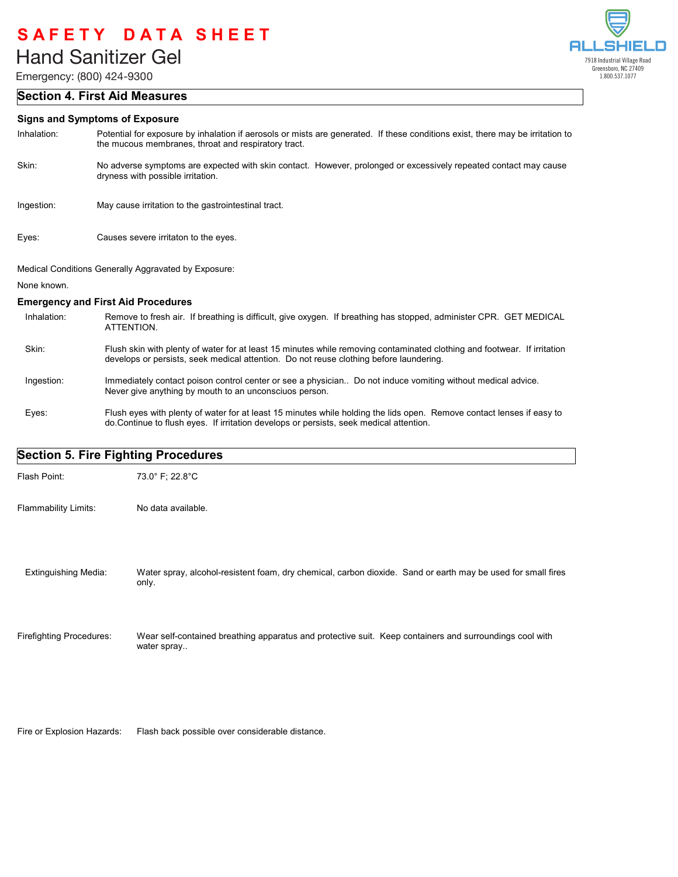Emergency: (800) 424-9300

### **Section 4. First Aid Measures**

#### **Signs and Symptoms of Exposure**

| Inhalation: | Potential for exposure by inhalation if aerosols or mists are generated. If these conditions exist, there may be irritation to<br>the mucous membranes, throat and respiratory tract. |
|-------------|---------------------------------------------------------------------------------------------------------------------------------------------------------------------------------------|
| Skin:       | No adverse symptoms are expected with skin contact. However, prolonged or excessively repeated contact may cause<br>dryness with possible irritation.                                 |

- Ingestion: May cause irritation to the gastrointestinal tract.
- Eyes: Causes severe irritaton to the eyes.

Medical Conditions Generally Aggravated by Exposure:

None known.

#### **Emergency and First Aid Procedures**

- Remove to fresh air. If breathing is difficult, give oxygen. If breathing has stopped, administer CPR. GET MEDICAL ATTENTION. Inhalation:
- Flush skin with plenty of water for at least 15 minutes while removing contaminated clothing and footwear. If irritation develops or persists, seek medical attention. Do not reuse clothing before laundering. Skin:
- Immediately contact poison control center or see a physician.. Do not induce vomiting without medical advice. Never give anything by mouth to an unconsciuos person. Ingestion:
- Flush eyes with plenty of water for at least 15 minutes while holding the lids open. Remove contact lenses if easy to do.Continue to flush eyes. If irritation develops or persists, seek medical attention. Eyes:

## **Section 5. Fire Fighting Procedures**

| Flash Point:                    | 73.0° F; 22.8°C                                                                                                        |
|---------------------------------|------------------------------------------------------------------------------------------------------------------------|
| <b>Flammability Limits:</b>     | No data available.                                                                                                     |
| <b>Extinguishing Media:</b>     | Water spray, alcohol-resistent foam, dry chemical, carbon dioxide. Sand or earth may be used for small fires<br>only.  |
| <b>Firefighting Procedures:</b> | Wear self-contained breathing apparatus and protective suit. Keep containers and surroundings cool with<br>water spray |
|                                 |                                                                                                                        |

Fire or Explosion Hazards: Flash back possible over considerable distance.

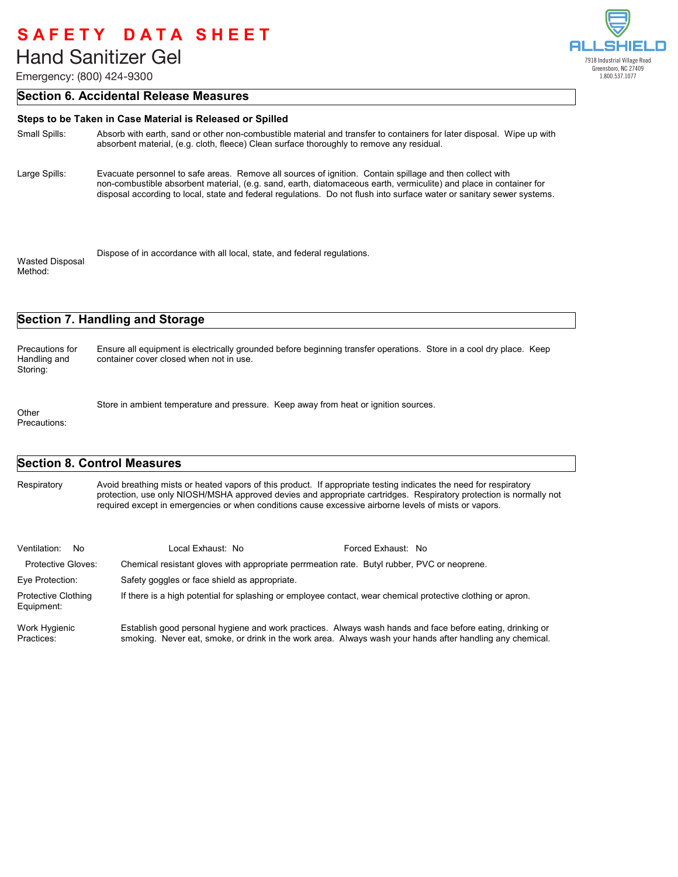Emergency: (800) 424-9300

# Al П 7918 Industrial Village Road Greensboro, NC 27409 1.800.537.1077

### **Section 6. Accidental Release Measures**

| Steps to be Taken in Case Material is Released or Spilled |                                                                                                                                                                                                                                                                                                                                                          |  |  |  |
|-----------------------------------------------------------|----------------------------------------------------------------------------------------------------------------------------------------------------------------------------------------------------------------------------------------------------------------------------------------------------------------------------------------------------------|--|--|--|
| Small Spills:                                             | Absorb with earth, sand or other non-combustible material and transfer to containers for later disposal. Wipe up with<br>absorbent material, (e.g. cloth, fleece) Clean surface thoroughly to remove any residual.                                                                                                                                       |  |  |  |
| Large Spills:                                             | Evacuate personnel to safe areas. Remove all sources of ignition. Contain spillage and then collect with<br>non-combustible absorbent material, (e.g. sand, earth, diatomaceous earth, vermiculite) and place in container for<br>disposal according to local, state and federal regulations. Do not flush into surface water or sanitary sewer systems. |  |  |  |
| <b>Wasted Disposal</b><br>Method:                         | Dispose of in accordance with all local, state, and federal regulations.                                                                                                                                                                                                                                                                                 |  |  |  |

## **Section 7. Handling and Storage**

Ensure all equipment is electrically grounded before beginning transfer operations. Store in a cool dry place. Keep container cover closed when not in use. Precautions for Handling and Storing:

Store in ambient temperature and pressure. Keep away from heat or ignition sources. Other

Precautions:

## **Section 8. Control Measures**

Avoid breathing mists or heated vapors of this product. If appropriate testing indicates the need for respiratory protection, use only NIOSH/MSHA approved devies and appropriate cartridges. Respiratory protection is normally not required except in emergencies or when conditions cause excessive airborne levels of mists or vapors. **Respiratory** 

| Ventilation: No                          | Local Exhaust: No                                                                                                                                                                                                      | Forced Exhaust: No |
|------------------------------------------|------------------------------------------------------------------------------------------------------------------------------------------------------------------------------------------------------------------------|--------------------|
| Protective Gloves:                       | Chemical resistant gloves with appropriate perrmeation rate. Butyl rubber, PVC or neoprene.                                                                                                                            |                    |
| Eye Protection:                          | Safety goggles or face shield as appropriate.                                                                                                                                                                          |                    |
| <b>Protective Clothing</b><br>Equipment: | If there is a high potential for splashing or employee contact, wear chemical protective clothing or apron.                                                                                                            |                    |
| Work Hygienic<br>Practices:              | Establish good personal hygiene and work practices. Always wash hands and face before eating, drinking or<br>smoking. Never eat, smoke, or drink in the work area. Always wash your hands after handling any chemical. |                    |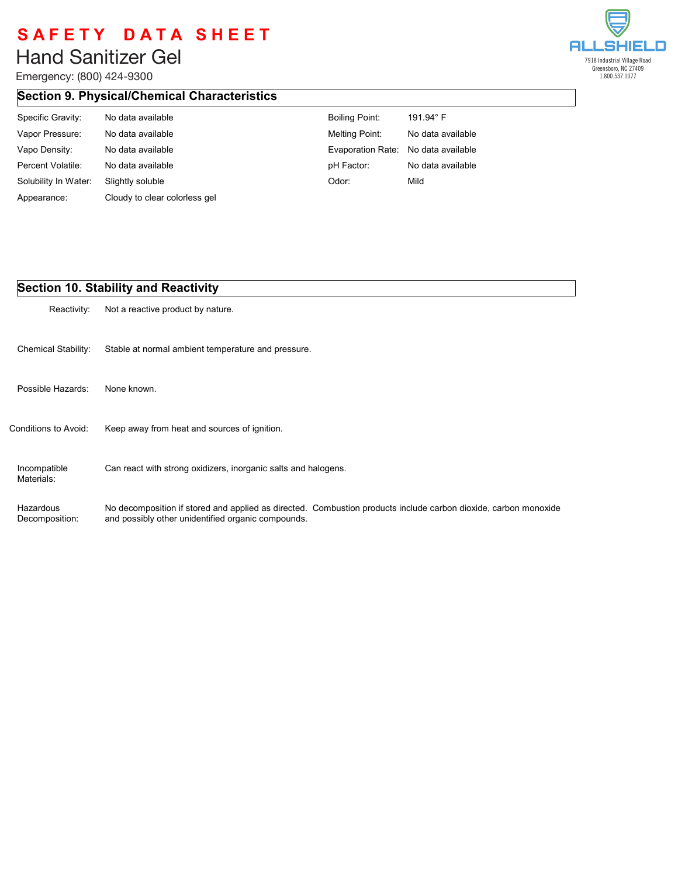Emergency: (800) 424-9300



# **Section 9. Physical/Chemical Characteristics**

| Specific Gravity:    | No data available             | <b>Boiling Point:</b>               | 191.94 $^{\circ}$ F |
|----------------------|-------------------------------|-------------------------------------|---------------------|
| Vapor Pressure:      | No data available             | Melting Point:                      | No data available   |
| Vapo Density:        | No data available             | Evaporation Rate: No data available |                     |
| Percent Volatile:    | No data available             | pH Factor:                          | No data available   |
| Solubility In Water: | Slightly soluble              | Odor:                               | Mild                |
| Appearance:          | Cloudy to clear colorless gel |                                     |                     |

## **Section 10. Stability and Reactivity**

| Reactivity:                 | Not a reactive product by nature.                                                                                                                                     |
|-----------------------------|-----------------------------------------------------------------------------------------------------------------------------------------------------------------------|
| <b>Chemical Stability:</b>  | Stable at normal ambient temperature and pressure.                                                                                                                    |
| Possible Hazards:           | None known.                                                                                                                                                           |
| Conditions to Avoid:        | Keep away from heat and sources of ignition.                                                                                                                          |
| Incompatible<br>Materials:  | Can react with strong oxidizers, inorganic salts and halogens.                                                                                                        |
| Hazardous<br>Decomposition: | No decomposition if stored and applied as directed. Combustion products include carbon dioxide, carbon monoxide<br>and possibly other unidentified organic compounds. |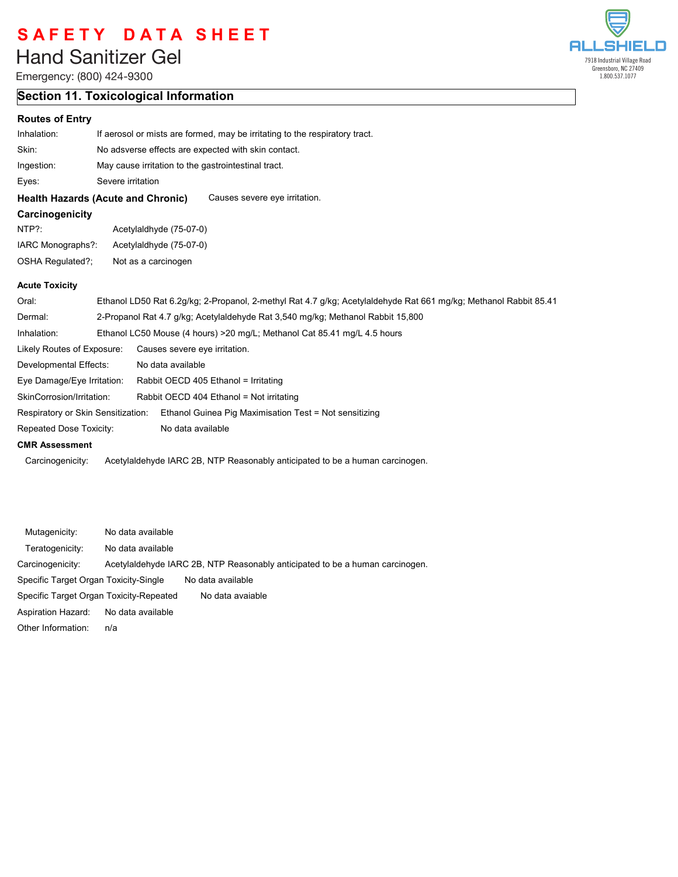# **Liberty Hand Sanitizer Gel** Hand Sanitizer Gel

Emergency: (800) 424-9300

## **Section 11. Toxicological Information**

### **Routes of Entry**

| If aerosol or mists are formed, may be irritating to the respiratory tract. |                   |                                                                                                                                                                                                                                                                                                |  |
|-----------------------------------------------------------------------------|-------------------|------------------------------------------------------------------------------------------------------------------------------------------------------------------------------------------------------------------------------------------------------------------------------------------------|--|
| No adsverse effects are expected with skin contact.                         |                   |                                                                                                                                                                                                                                                                                                |  |
|                                                                             |                   |                                                                                                                                                                                                                                                                                                |  |
|                                                                             |                   |                                                                                                                                                                                                                                                                                                |  |
|                                                                             |                   | Causes severe eye irritation.                                                                                                                                                                                                                                                                  |  |
|                                                                             |                   |                                                                                                                                                                                                                                                                                                |  |
|                                                                             |                   |                                                                                                                                                                                                                                                                                                |  |
| IARC Monographs?:                                                           |                   |                                                                                                                                                                                                                                                                                                |  |
| OSHA Regulated?;                                                            |                   |                                                                                                                                                                                                                                                                                                |  |
|                                                                             |                   |                                                                                                                                                                                                                                                                                                |  |
|                                                                             |                   | Ethanol LD50 Rat 6.2g/kg; 2-Propanol, 2-methyl Rat 4.7 g/kg; Acetylaldehyde Rat 661 mg/kg; Methanol Rabbit 85.41                                                                                                                                                                               |  |
|                                                                             |                   | 2-Propanol Rat 4.7 g/kg; Acetylaldehyde Rat 3,540 mg/kg; Methanol Rabbit 15,800                                                                                                                                                                                                                |  |
|                                                                             |                   | Ethanol LC50 Mouse (4 hours) > 20 mg/L; Methanol Cat 85.41 mg/L 4.5 hours                                                                                                                                                                                                                      |  |
| Likely Routes of Exposure:                                                  |                   |                                                                                                                                                                                                                                                                                                |  |
| Developmental Effects:                                                      | No data available |                                                                                                                                                                                                                                                                                                |  |
| Eye Damage/Eye Irritation:                                                  |                   | Rabbit OECD 405 Ethanol = Irritating                                                                                                                                                                                                                                                           |  |
| SkinCorrosion/Irritation:                                                   |                   | Rabbit OECD 404 Ethanol = Not irritating                                                                                                                                                                                                                                                       |  |
|                                                                             |                   | Ethanol Guinea Pig Maximisation Test = Not sensitizing                                                                                                                                                                                                                                         |  |
| Repeated Dose Toxicity:                                                     |                   |                                                                                                                                                                                                                                                                                                |  |
|                                                                             |                   |                                                                                                                                                                                                                                                                                                |  |
|                                                                             |                   | May cause irritation to the gastrointestinal tract.<br>Severe irritation<br><b>Health Hazards (Acute and Chronic)</b><br>Acetylaldhyde (75-07-0)<br>Acetylaldhyde (75-07-0)<br>Not as a carcinogen<br>Causes severe eye irritation.<br>Respiratory or Skin Sensitization:<br>No data available |  |

Carcinogenicity: Acetylaldehyde IARC 2B, NTP Reasonably anticipated to be a human carcinogen.

| Mutagenicity:                           | No data available |                                                                              |
|-----------------------------------------|-------------------|------------------------------------------------------------------------------|
| Teratogenicity:                         | No data available |                                                                              |
| Carcinogenicity:                        |                   | Acetylaldehyde IARC 2B, NTP Reasonably anticipated to be a human carcinogen. |
| Specific Target Organ Toxicity-Single   |                   | No data available                                                            |
| Specific Target Organ Toxicity-Repeated |                   | No data avaiable                                                             |
| Aspiration Hazard:                      | No data available |                                                                              |
| Other Information:                      | n/a               |                                                                              |

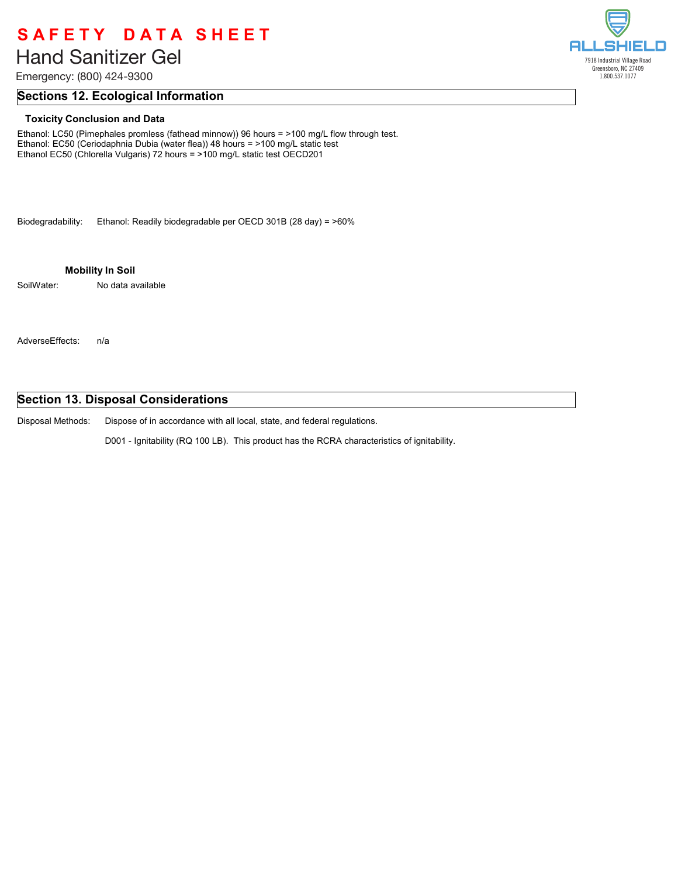# **Liberty Hand Sanitizer Gel** Hand Sanitizer Gel

Emergency: (800) 424-9300

### **Sections 12. Ecological Information**

#### **Toxicity Conclusion and Data**

Ethanol: LC50 (Pimephales promless (fathead minnow)) 96 hours = >100 mg/L flow through test. Ethanol: EC50 (Ceriodaphnia Dubia (water flea)) 48 hours = >100 mg/L static test Ethanol EC50 (Chlorella Vulgaris) 72 hours = >100 mg/L static test OECD201

Biodegradability: Ethanol: Readily biodegradable per OECD 301B (28 day) = >60%

**Mobility In Soil**

SoilWater: No data available

AdverseEffects: n/a

### **Section 13. Disposal Considerations**

Dispose of in accordance with all local, state, and federal regulations. Disposal Methods:

D001 - Ignitability (RQ 100 LB). This product has the RCRA characteristics of ignitability.

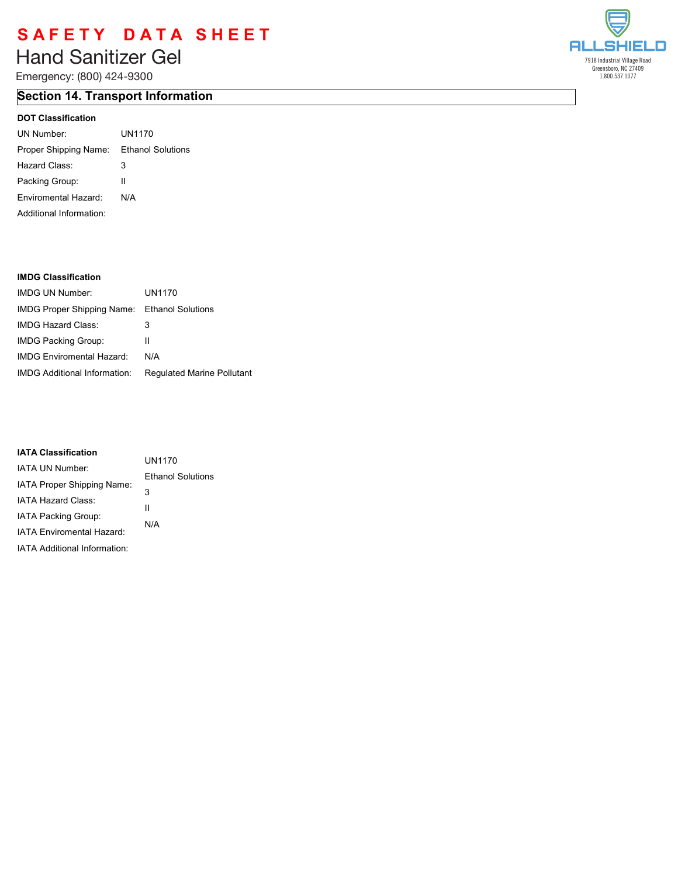# **Liberty Hand Sanitizer Gel** Hand Sanitizer Gel

Emergency: (800) 424-9300

# **Section 14. Transport Information**

### **DOT Classification**

| UN Number:                              | UN1170 |
|-----------------------------------------|--------|
| Proper Shipping Name: Ethanol Solutions |        |
| Hazard Class:                           | 3      |
| Packing Group:                          | Ш      |
| Enviromental Hazard:                    | N/A    |
| Additional Information:                 |        |

#### **IMDG Classification**

| <b>IMDG UN Number</b>                               | UN1170                            |
|-----------------------------------------------------|-----------------------------------|
| <b>IMDG Proper Shipping Name:</b> Ethanol Solutions |                                   |
| IMDG Hazard Class:                                  | 3                                 |
| <b>IMDG Packing Group:</b>                          | Ш                                 |
| <b>IMDG Enviromental Hazard:</b>                    | N/A                               |
| <b>IMDG Additional Information:</b>                 | <b>Regulated Marine Pollutant</b> |

#### **IATA Classification**

| IAIA VIASSIIIVAUVII              | UN1170                   |
|----------------------------------|--------------------------|
| IATA UN Number:                  |                          |
| IATA Proper Shipping Name:       | <b>Ethanol Solutions</b> |
|                                  | 3                        |
| IATA Hazard Class:               | Ш                        |
| IATA Packing Group:              |                          |
| <b>IATA Enviromental Hazard:</b> | N/A                      |
| IATA Additional Information:     |                          |